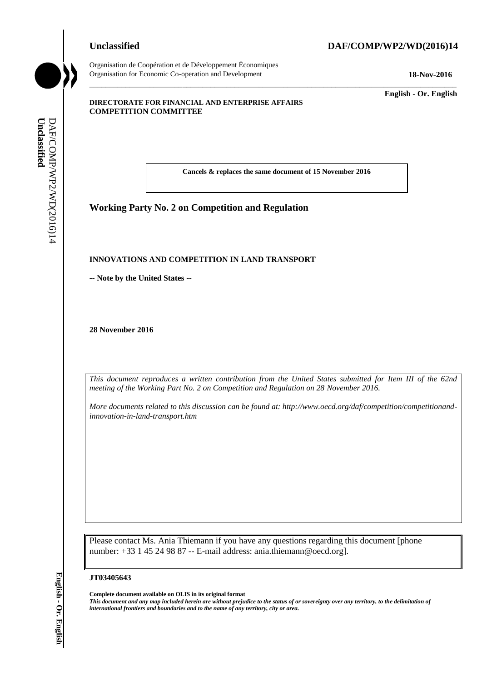# Organisation de Coopération et de Développement Économiques

**Unclassified DAF/COMP/WP2/WD(2016)14**

Organisation for Economic Co-operation and Development **18-Nov-2016**

\_\_\_\_\_\_\_\_\_\_\_\_\_ **English - Or. English**

#### **DIRECTORATE FOR FINANCIAL AND ENTERPRISE AFFAIRS COMPETITION COMMITTEE**

**Cancels & replaces the same document of 15 November 2016**

\_\_\_\_\_\_\_\_\_\_\_\_\_\_\_\_\_\_\_\_\_\_\_\_\_\_\_\_\_\_\_\_\_\_\_\_\_\_\_\_\_\_\_\_\_\_\_\_\_\_\_\_\_\_\_\_\_\_\_\_\_\_\_\_\_\_\_\_\_\_\_\_\_\_\_\_\_\_\_\_\_\_\_\_\_\_\_\_\_\_\_

# **Working Party No. 2 on Competition and Regulation**

#### **INNOVATIONS AND COMPETITION IN LAND TRANSPORT**

**-- Note by the United States --**

**28 November 2016**

*This document reproduces a written contribution from the United States submitted for Item III of the 62nd meeting of the Working Part No. 2 on Competition and Regulation on 28 November 2016.*

*More documents related to this discussion can be found at: http://www.oecd.org/daf/competition/competitionandinnovation-in-land-transport.htm*

Please contact Ms. Ania Thiemann if you have any questions regarding this document [phone number: +33 1 45 24 98 87 -- E-mail address: ania.thiemann@oecd.org]. *international frontiers and boundaries and to the name of any territory, city or area.* **Unclassified** DAF/COMP/WP2/WD(2016)14 **English - Or. English**

#### **JT03405643**

**Complete document available on OLIS in its original format**

*This document and any map included herein are without prejudice to the status of or sovereignty over any territory, to the delimitation of*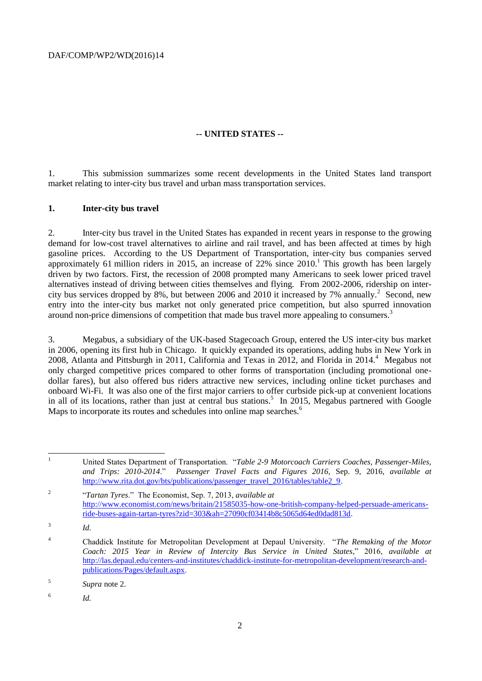DAF/COMP/WP2/WD(2016)14

## **-- UNITED STATES --**

1. This submission summarizes some recent developments in the United States land transport market relating to inter-city bus travel and urban mass transportation services.

### **1. Inter-city bus travel**

2. Inter-city bus travel in the United States has expanded in recent years in response to the growing demand for low-cost travel alternatives to airline and rail travel, and has been affected at times by high gasoline prices. According to the US Department of Transportation, inter-city bus companies served approximately 61 million riders in 2015, an increase of  $22\%$  since  $2010$ .<sup>1</sup> This growth has been largely driven by two factors. First, the recession of 2008 prompted many Americans to seek lower priced travel alternatives instead of driving between cities themselves and flying. From 2002-2006, ridership on intercity bus services dropped by 8%, but between 2006 and 2010 it increased by 7% annually.<sup>2</sup> Second, new entry into the inter-city bus market not only generated price competition, but also spurred innovation around non-price dimensions of competition that made bus travel more appealing to consumers.<sup>3</sup>

3. Megabus, a subsidiary of the UK-based Stagecoach Group, entered the US inter-city bus market in 2006, opening its first hub in Chicago. It quickly expanded its operations, adding hubs in New York in 2008, Atlanta and Pittsburgh in 2011, California and Texas in 2012, and Florida in 2014. $4$  Megabus not only charged competitive prices compared to other forms of transportation (including promotional onedollar fares), but also offered bus riders attractive new services, including online ticket purchases and onboard Wi-Fi. It was also one of the first major carriers to offer curbside pick-up at convenient locations in all of its locations, rather than just at central bus stations.<sup>5</sup> In 2015, Megabus partnered with Google Maps to incorporate its routes and schedules into online map searches.<sup>6</sup>

 $\mathbf{1}$ <sup>1</sup> United States Department of Transportation. "*Table 2-9 Motorcoach Carriers Coaches, Passenger-Miles, and Trips: 2010-2014*." *Passenger Travel Facts and Figures 2016,* Sep. 9, 2016, *available at* [http://www.rita.dot.gov/bts/publications/passenger\\_travel\\_2016/tables/table2\\_9.](http://www.rita.dot.gov/bts/publications/passenger_travel_2016/tables/table2_9) 2 "*Tartan Tyres*." The Economist, Sep. 7, 2013, *available at* [http://www.economist.com/news/britain/21585035-how-one-british-company-helped-persuade-americans](http://www.economist.com/news/britain/21585035-how-one-british-company-helped-persuade-americans-ride-buses-again-tartan-tyres?zid=303&ah=27090cf03414b8c5065d64ed0dad813d)[ride-buses-again-tartan-tyres?zid=303&ah=27090cf03414b8c5065d64ed0dad813d.](http://www.economist.com/news/britain/21585035-how-one-british-company-helped-persuade-americans-ride-buses-again-tartan-tyres?zid=303&ah=27090cf03414b8c5065d64ed0dad813d) 3 *Id.*  <sup>4</sup> Chaddick Institute for Metropolitan Development at Depaul University. "*The Remaking of the Motor Coach: 2015 Year in Review of Intercity Bus Service in United States*," 2016, *available at* [http://las.depaul.edu/centers-and-institutes/chaddick-institute-for-metropolitan-development/research-and](http://las.depaul.edu/centers-and-institutes/chaddick-institute-for-metropolitan-development/research-and-publications/Pages/default.aspx)[publications/Pages/default.aspx.](http://las.depaul.edu/centers-and-institutes/chaddick-institute-for-metropolitan-development/research-and-publications/Pages/default.aspx)

<sup>5</sup> *Supra* note 2.

<sup>6</sup> *Id.*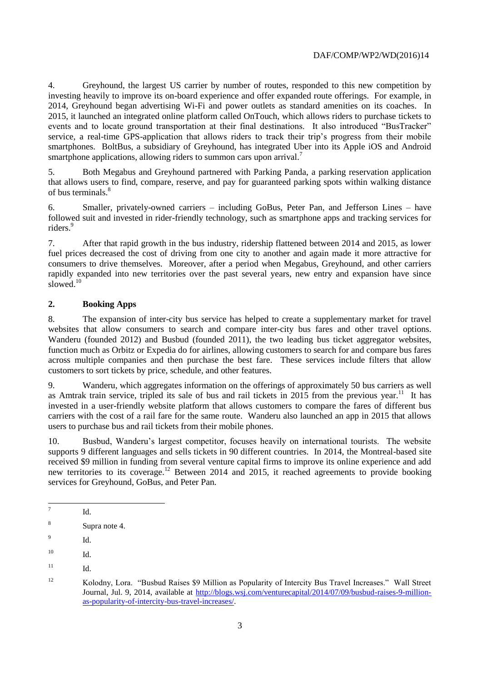4. Greyhound, the largest US carrier by number of routes, responded to this new competition by investing heavily to improve its on-board experience and offer expanded route offerings. For example, in 2014, Greyhound began advertising Wi-Fi and power outlets as standard amenities on its coaches. In 2015, it launched an integrated online platform called OnTouch, which allows riders to purchase tickets to events and to locate ground transportation at their final destinations. It also introduced "BusTracker" service, a real-time GPS-application that allows riders to track their trip's progress from their mobile smartphones. BoltBus, a subsidiary of Greyhound, has integrated Uber into its Apple iOS and Android smartphone applications, allowing riders to summon cars upon arrival.<sup>7</sup>

5. Both Megabus and Greyhound partnered with Parking Panda, a parking reservation application that allows users to find, compare, reserve, and pay for guaranteed parking spots within walking distance of bus terminals.<sup>8</sup>

6. Smaller, privately-owned carriers – including GoBus, Peter Pan, and Jefferson Lines – have followed suit and invested in rider-friendly technology, such as smartphone apps and tracking services for riders<sup>9</sup>

7. After that rapid growth in the bus industry, ridership flattened between 2014 and 2015, as lower fuel prices decreased the cost of driving from one city to another and again made it more attractive for consumers to drive themselves. Moreover, after a period when Megabus, Greyhound, and other carriers rapidly expanded into new territories over the past several years, new entry and expansion have since slowed.<sup>10</sup>

# **2. Booking Apps**

8. The expansion of inter-city bus service has helped to create a supplementary market for travel websites that allow consumers to search and compare inter-city bus fares and other travel options. Wanderu (founded 2012) and Busbud (founded 2011), the two leading bus ticket aggregator websites, function much as Orbitz or Expedia do for airlines, allowing customers to search for and compare bus fares across multiple companies and then purchase the best fare. These services include filters that allow customers to sort tickets by price, schedule, and other features.

9. Wanderu, which aggregates information on the offerings of approximately 50 bus carriers as well as Amtrak train service, tripled its sale of bus and rail tickets in  $2015$  from the previous year.<sup>11</sup> It has invested in a user-friendly website platform that allows customers to compare the fares of different bus carriers with the cost of a rail fare for the same route. Wanderu also launched an app in 2015 that allows users to purchase bus and rail tickets from their mobile phones.

10. Busbud, Wanderu's largest competitor, focuses heavily on international tourists. The website supports 9 different languages and sells tickets in 90 different countries. In 2014, the Montreal-based site received \$9 million in funding from several venture capital firms to improve its online experience and add new territories to its coverage.<sup>12</sup> Between 2014 and 2015, it reached agreements to provide booking services for Greyhound, GoBus, and Peter Pan.

<sup>-&</sup>lt;br>7 Id.

<sup>8</sup> Supra note 4.

 $\overline{9}$ Id.

 $10$  Id.

 $11$  Id.

<sup>12</sup> Kolodny, Lora. "Busbud Raises \$9 Million as Popularity of Intercity Bus Travel Increases." Wall Street Journal, Jul. 9, 2014, available at [http://blogs.wsj.com/venturecapital/2014/07/09/busbud-raises-9-million](http://blogs.wsj.com/venturecapital/2014/07/09/busbud-raises-9-million-as-popularity-of-intercity-bus-travel-increases/)[as-popularity-of-intercity-bus-travel-increases/.](http://blogs.wsj.com/venturecapital/2014/07/09/busbud-raises-9-million-as-popularity-of-intercity-bus-travel-increases/)